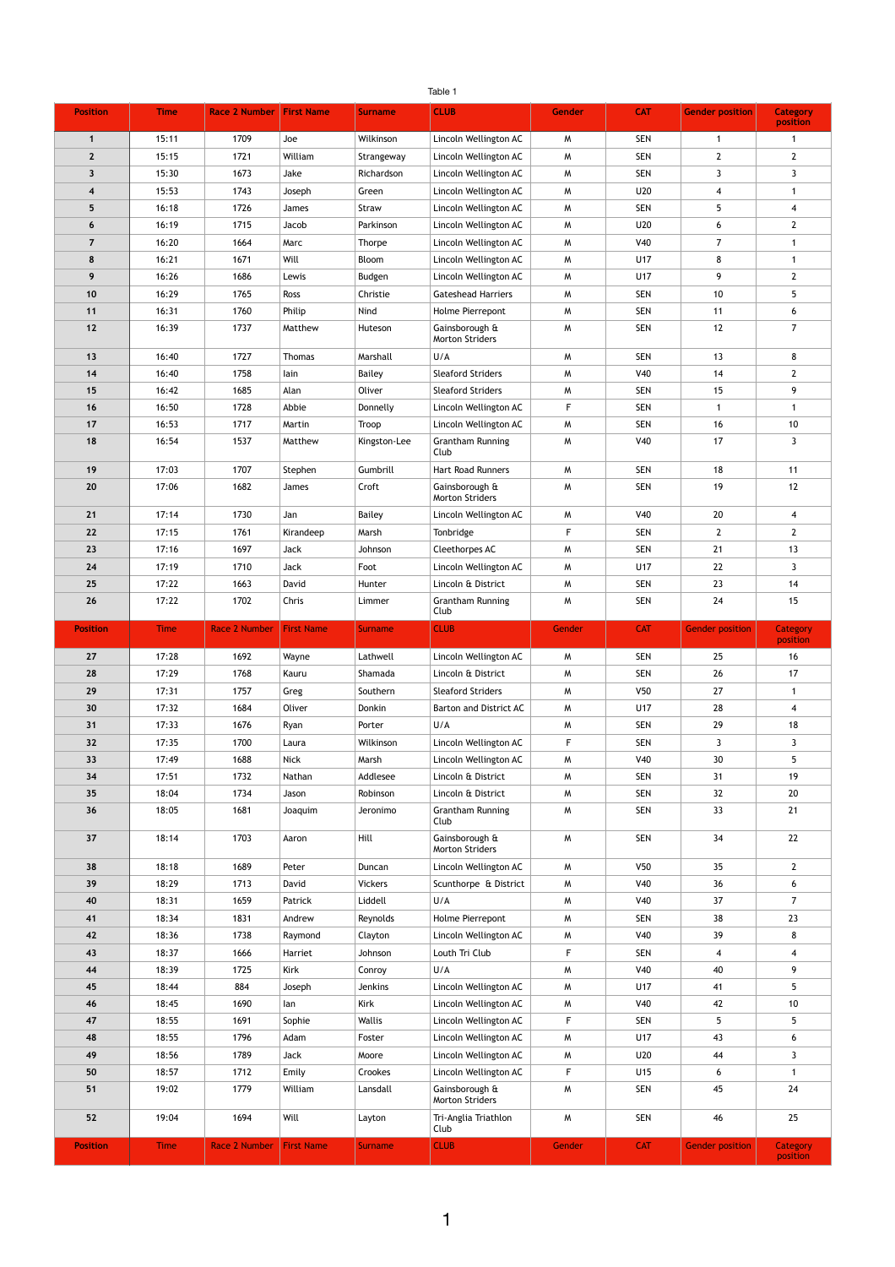|                         |                |                      |                   |                  | Table 1                                                |               |                 |                         |                             |
|-------------------------|----------------|----------------------|-------------------|------------------|--------------------------------------------------------|---------------|-----------------|-------------------------|-----------------------------|
| <b>Position</b>         | <b>Time</b>    | <b>Race 2 Number</b> | <b>First Name</b> | <b>Surname</b>   | <b>CLUB</b>                                            | <b>Gender</b> | <b>CAT</b>      | <b>Gender position</b>  | <b>Category</b><br>position |
|                         | 15:11          | 1709                 | Joe               | Wilkinson        | Lincoln Wellington AC                                  | M             | <b>SEN</b>      | -1                      |                             |
| 2 <sup>2</sup>          | 15:15          | 1721                 | William           | Strangeway       | Lincoln Wellington AC                                  | M             | <b>SEN</b>      | $\overline{2}$          | $\mathbf{2}$                |
| $\overline{\mathbf{3}}$ | 15:30          | 1673                 | Jake              | Richardson       | Lincoln Wellington AC                                  | M             | <b>SEN</b>      | $\mathbf{3}$            | $\mathbf{3}$                |
| $\overline{\mathbf{4}}$ | 15:53          | 1743                 | Joseph            | Green            | Lincoln Wellington AC                                  | M             | U20             | 4                       |                             |
| $5\phantom{.}$          | 16:18          | 1726                 | James             | Straw            | Lincoln Wellington AC                                  | M             | <b>SEN</b>      | 5                       | $\overline{4}$              |
| 6                       | 16:19          | 1715                 | Jacob             | Parkinson        | Lincoln Wellington AC                                  | M             | U20             | 6                       | $2^{\circ}$                 |
| $\overline{7}$          | 16:20          | 1664                 | Marc              | <b>Thorpe</b>    | Lincoln Wellington AC                                  | M             | V40             | $\overline{7}$          |                             |
| 8                       | 16:21          | 1671                 | Will              | Bloom            | Lincoln Wellington AC                                  | M             | U17             | 8                       |                             |
| 9                       | 16:26          | 1686                 | Lewis             | <b>Budgen</b>    | Lincoln Wellington AC                                  | M             | U17             | 9                       | $2^{\circ}$                 |
| 10                      | 16:29          | 1765                 | Ross              | Christie         | <b>Gateshead Harriers</b>                              | M             | <b>SEN</b>      | 10                      | 5                           |
| 11                      | 16:31          | 1760                 | Philip            | Nind             | Holme Pierrepont                                       | M             | <b>SEN</b>      | 11                      | 6                           |
| $12$                    | 16:39          | 1737                 | Matthew           | Huteson          | Gainsborough &<br><b>Morton Striders</b>               | M             | <b>SEN</b>      | 12                      | $\overline{7}$              |
| 13                      | 16:40          | 1727                 | Thomas            | Marshall         | U/A                                                    | M             | <b>SEN</b>      | 13                      | 8                           |
| 14                      | 16:40          | 1758                 | lain              | <b>Bailey</b>    | <b>Sleaford Striders</b>                               | M             | V40             | 14                      | $\overline{2}$              |
| 15                      | 16:42          | 1685                 | Alan              | Oliver           | <b>Sleaford Striders</b>                               | M             | <b>SEN</b>      | 15                      | 9                           |
| 16                      | 16:50          | 1728                 | Abbie             | Donnelly         | Lincoln Wellington AC                                  | F             | <b>SEN</b>      | $\overline{\mathbf{1}}$ |                             |
| 17                      | 16:53          | 1717                 | Martin            | Troop            | Lincoln Wellington AC                                  | M             | <b>SEN</b>      | 16                      | 10                          |
| 18                      | 16:54          | 1537                 | Matthew           | Kingston-Lee     | <b>Grantham Running</b><br>Club                        | M             | V40             | 17                      | 3                           |
| 19                      | 17:03          | 1707                 | Stephen           | Gumbrill         | <b>Hart Road Runners</b>                               | M             | <b>SEN</b>      | 18                      | 11                          |
| 20                      | 17:06          | 1682                 | James             | Croft            | Gainsborough &<br><b>Morton Striders</b>               | M             | <b>SEN</b>      | 19                      | 12                          |
| 21                      | 17:14          | 1730                 | Jan               | <b>Bailey</b>    | Lincoln Wellington AC                                  | W             | V40             | 20                      | $\overline{4}$              |
| 22                      | 17:15          | 1761                 | Kirandeep         | Marsh            | Tonbridge                                              | F             | <b>SEN</b>      | $\overline{2}$          | $\overline{2}$              |
| 23                      | 17:16          | 1697                 | Jack              | Johnson          | Cleethorpes AC                                         | M             | <b>SEN</b>      | 21                      | 13                          |
| 24                      | 17:19          | 1710                 | <b>Jack</b>       | Foot             | Lincoln Wellington AC                                  | M             | U17             | 22                      | 3                           |
| 25                      | 17:22          | 1663                 | David             | Hunter           | Lincoln & District                                     | M             | <b>SEN</b>      | 23                      | 14                          |
| 26                      | 17:22          | 1702                 | Chris             | Limmer           | Grantham Running<br>Club                               | M             | <b>SEN</b>      | 24                      | 15                          |
|                         |                |                      |                   |                  |                                                        |               |                 |                         |                             |
| <b>Position</b>         | <b>Time</b>    | <b>Race 2 Number</b> | <b>First Name</b> | <b>Surname</b>   | <b>CLUB</b>                                            | Gender        | <b>CAT</b>      | <b>Gender position</b>  | <b>Category</b><br>position |
| 27                      | 17:28          | 1692                 | Wayne             | Lathwell         | Lincoln Wellington AC                                  | M             | <b>SEN</b>      | 25                      | 16                          |
| 28                      | 17:29          | 1768                 | Kauru             | Shamada          | Lincoln & District                                     | M             | <b>SEN</b>      | 26                      | 17                          |
| 29                      | 17:31          | 1757                 | Greg              | Southern         | <b>Sleaford Striders</b>                               | M             | V50             | 27                      |                             |
| 30                      | 17:32          | 1684                 | Oliver            | Donkin           | Barton and District AC                                 | M             | U17             | 28                      | $\overline{4}$              |
| 31                      | 17:33          | 1676                 | Ryan              | Porter           | U/A                                                    | M             | <b>SEN</b>      | 29                      | 18                          |
| 32                      | 17:35          | 1700                 | Laura             | Wilkinson        | Lincoln Wellington AC                                  | F             | <b>SEN</b>      | $\mathbf{3}$            | $\mathbf{3}$                |
| 33                      | 17:49          | 1688                 | <b>Nick</b>       | Marsh            | Lincoln Wellington AC                                  | M             | V40             | 30                      | 5                           |
| 34                      | 17:51          | 1732                 | Nathan            | Addlesee         | Lincoln & District                                     | M             | <b>SEN</b>      | 31                      | 19                          |
| 35                      | 18:04          | 1734                 | Jason             | Robinson         | Lincoln & District                                     | M             | <b>SEN</b>      | 32                      | 20                          |
| 36                      | 18:05          | 1681                 | Joaquim           | Jeronimo         | <b>Grantham Running</b><br>Club                        | M             | <b>SEN</b>      | 33                      | 21                          |
| 37                      | 18:14          | 1703                 | Aaron             | Hill             | Gainsborough &<br><b>Morton Striders</b>               | M             | <b>SEN</b>      | 34                      | 22                          |
| 38                      | 18:18          | 1689                 | Peter             | Duncan           | Lincoln Wellington AC                                  | M             | V <sub>50</sub> | 35                      | 2 <sup>1</sup>              |
| 39                      | 18:29          | 1713                 | David             | <b>Vickers</b>   | Scunthorpe & District                                  | M             | V40             | 36                      | 6                           |
| 40                      | 18:31          | 1659                 | Patrick           | Liddell          | U/A                                                    | M             | <b>V40</b>      | 37                      | $\overline{7}$              |
| 41                      | 18:34          | 1831                 | Andrew            | Reynolds         | Holme Pierrepont                                       | M             | <b>SEN</b>      | 38                      | 23                          |
| 42                      | 18:36          | 1738                 | Raymond           | Clayton          | Lincoln Wellington AC                                  | M             | V40             | 39                      | 8                           |
| 43                      | 18:37          | 1666                 | Harriet           | Johnson          | Louth Tri Club                                         | F             | <b>SEN</b>      | 4                       | $\overline{4}$              |
| 44                      | 18:39          | 1725                 | <b>Kirk</b>       | Conroy           | U/A                                                    | M             | V40             | 40                      | 9                           |
| 45                      | 18:44          | 884                  | Joseph            | Jenkins          | Lincoln Wellington AC                                  | M             | U17             | 41                      | 5 <sub>1</sub>              |
| 46                      | 18:45          | 1690                 | lan               | Kirk             | Lincoln Wellington AC                                  | M             | V40             | 42                      | 10                          |
| 47                      | 18:55          | 1691                 | Sophie            | Wallis           | Lincoln Wellington AC                                  | F             | <b>SEN</b>      | 5                       | 5                           |
| 48                      | 18:55          | 1796                 | Adam              | Foster           | Lincoln Wellington AC                                  | M             | U17             | 43                      | 6                           |
| 49                      | 18:56<br>18:57 | 1789<br>1712         | <b>Jack</b>       | Moore<br>Crookes | Lincoln Wellington AC                                  | M<br>F        | U20<br>U15      | 44<br>6                 | $\mathbf{3}$                |
| 50<br>51                | 19:02          | 1779                 | Emily<br>William  | Lansdall         | Lincoln Wellington AC<br>Gainsborough &                | M             | <b>SEN</b>      | 45                      | 24                          |
| 52                      | 19:04          | 1694                 | Will              | Layton           | <b>Morton Striders</b><br>Tri-Anglia Triathlon<br>Club | W             | <b>SEN</b>      | 46                      | 25                          |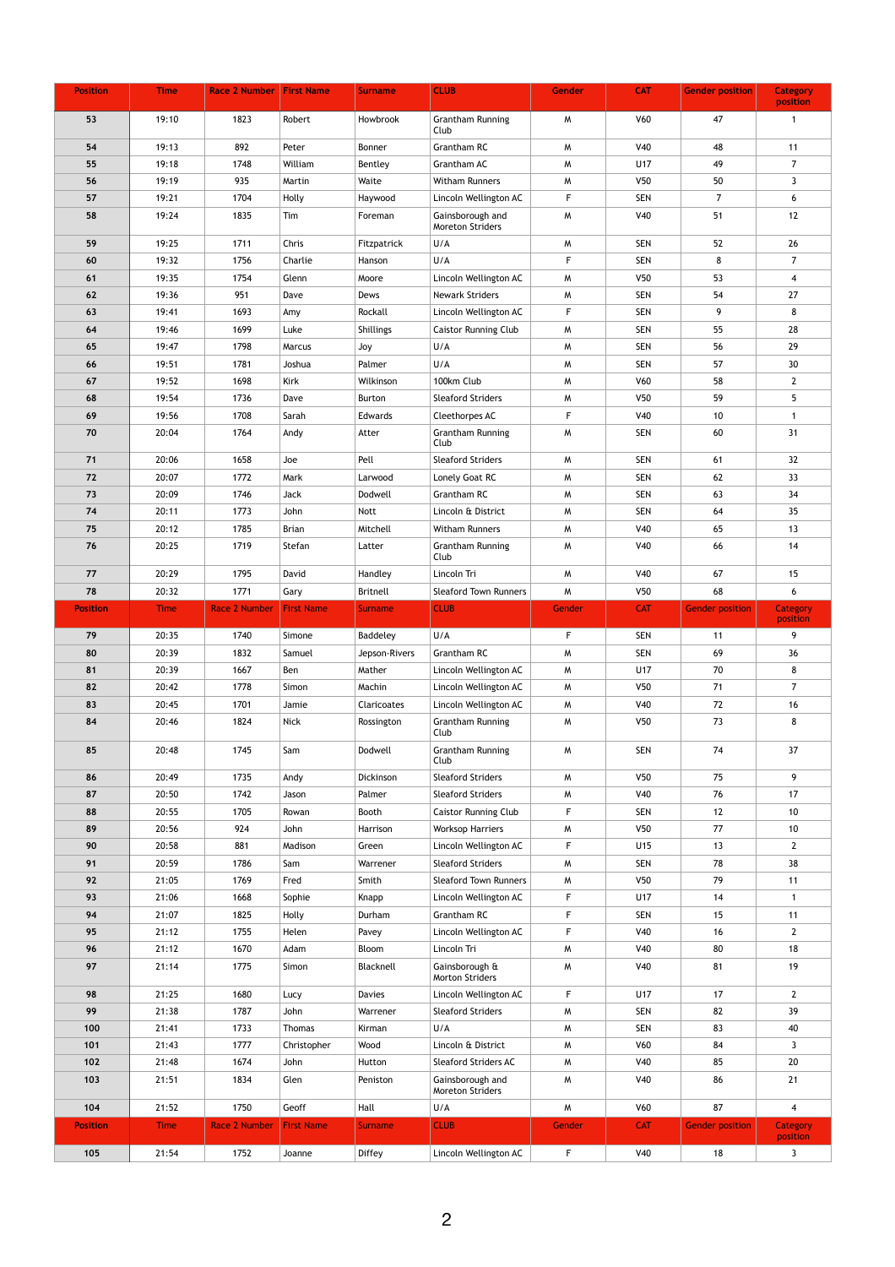| <b>Position</b> | <b>Time</b>    | <b>Race 2 Number First Name</b> |                   | <b>Surname</b>            | <b>CLUB</b>                                     | <b>Gender</b>    | <b>CAT</b>               | <b>Gender position</b> | <b>Category</b><br>position |
|-----------------|----------------|---------------------------------|-------------------|---------------------------|-------------------------------------------------|------------------|--------------------------|------------------------|-----------------------------|
| 53              | 19:10          | 1823                            | Robert            | Howbrook                  | <b>Grantham Running</b><br>Club                 | M                | V60                      | 47                     | -1                          |
| 54              | 19:13          | 892                             | Peter             | Bonner                    | <b>Grantham RC</b>                              | M                | V40                      | 48                     | 11                          |
| 55              | 19:18          | 1748                            | William           | Bentley                   | Grantham AC                                     | M                | U17                      | 49                     | $\overline{7}$              |
| 56              | 19:19          | 935                             | Martin            | Waite                     | <b>Witham Runners</b>                           | M                | V <sub>50</sub>          | 50                     | 3 <sup>1</sup>              |
| 57              | 19:21          | 1704                            | Holly             | Haywood                   | Lincoln Wellington AC                           | F                | <b>SEN</b>               | $\overline{7}$         | 6                           |
| 58              | 19:24          | 1835                            | Tim               | Foreman                   | Gainsborough and<br><b>Moreton Striders</b>     | M                | <b>V40</b>               | 51                     | 12                          |
| 59              | 19:25          | 1711                            | Chris             | Fitzpatrick               | U/A                                             | M                | <b>SEN</b>               | 52                     | 26                          |
| 60              | 19:32          | 1756                            | Charlie           | Hanson                    | U/A                                             | F.               | <b>SEN</b>               | 8                      | $\overline{7}$              |
| 61              | 19:35          | 1754                            | Glenn             | Moore                     | Lincoln Wellington AC                           | M                | V50                      | 53                     | $\overline{\mathbf{4}}$     |
| 62              | 19:36          | 951                             | Dave              | Dews                      | <b>Newark Striders</b>                          | M                | <b>SEN</b>               | 54                     | 27                          |
| 63              | 19:41          | 1693                            | Amy               | Rockall                   | Lincoln Wellington AC                           | F                | <b>SEN</b>               | 9                      | 8                           |
| 64              | 19:46          | 1699                            | Luke              | <b>Shillings</b>          | <b>Caistor Running Club</b>                     | M                | <b>SEN</b>               | 55                     | 28                          |
| 65              | 19:47          | 1798                            | Marcus            | Joy                       | U/A                                             | M                | <b>SEN</b>               | 56                     | 29                          |
| 66              | 19:51          | 1781                            | Joshua            | Palmer                    | U/A                                             | M                | <b>SEN</b>               | 57                     | 30                          |
| 67              | 19:52          | 1698                            | Kirk              | Wilkinson                 | 100km Club                                      | M                | V60                      | 58                     | $2^{\circ}$                 |
| 68              | 19:54          | 1736                            | Dave              | Burton                    | <b>Sleaford Striders</b>                        | M                | V50                      | 59                     | 5 <sub>1</sub>              |
| 69              | 19:56          | 1708                            | Sarah             | Edwards                   | Cleethorpes AC                                  | F                | V40                      | 10                     | 1                           |
| 70              | 20:04          | 1764                            | Andy              | Atter                     | <b>Grantham Running</b><br>Club                 | W                | <b>SEN</b>               | 60                     | 31                          |
| 71              | 20:06          | 1658                            | Joe               | Pell                      | <b>Sleaford Striders</b>                        | M                | <b>SEN</b>               | 61                     | 32                          |
| 72              | 20:07          | 1772                            | Mark              | Larwood                   | Lonely Goat RC                                  | M                | <b>SEN</b>               | 62                     | 33                          |
| 73              | 20:09          | 1746                            | <b>Jack</b>       | Dodwell                   | <b>Grantham RC</b>                              | M                | <b>SEN</b>               | 63                     | 34                          |
| 74              | 20:11          | 1773                            | John              | Nott                      | Lincoln & District                              | M                | <b>SEN</b>               | 64                     | 35                          |
| 75              | 20:12          | 1785                            | <b>Brian</b>      | Mitchell                  | <b>Witham Runners</b>                           | M                | V40                      | 65                     | 13                          |
| 76              | 20:25          | 1719                            | Stefan            | Latter                    | <b>Grantham Running</b><br>Club                 | M                | V40                      | 66                     | 14                          |
| 77              | 20:29          | 1795                            | David             | Handley                   | Lincoln Tri                                     | M                | V40                      | 67                     | 15                          |
| 78              | 20:32          | 1771                            | Gary              | <b>Britnell</b>           | <b>Sleaford Town Runners</b>                    | M                | V50                      | 68                     | 6                           |
| <b>Position</b> | <b>Time</b>    | Race 2 Number                   | <b>First Name</b> | <b>Surname</b>            | <b>CLUB</b>                                     | Gender           | <b>CAT</b>               | <b>Gender position</b> | <b>Category</b><br>position |
| 79              | 20:35          | 1740                            | Simone            | Baddeley                  | U/A                                             | F.               | <b>SEN</b>               | 11                     | 9                           |
| 80              | 20:39          | 1832                            | Samuel            | Jepson-Rivers             | Grantham RC                                     | M                | <b>SEN</b>               | 69                     | 36                          |
| 81              | 20:39          | 1667                            | Ben               | Mather                    | Lincoln Wellington AC                           | M                | U17                      | 70                     | 8                           |
| 82              | 20:42          | 1778                            | Simon             | Machin                    | Lincoln Wellington AC                           | M                | V <sub>50</sub>          | 71                     | $7^{\circ}$                 |
| 83              | 20:45          | 1701                            | Jamie             | <b>Claricoates</b>        | Lincoln Wellington AC                           | M                | <b>V40</b>               | 72                     | 16                          |
| 84              | 20:46          | 1824                            | <b>Nick</b>       | Rossington                | <b>Grantham Running</b><br>Club                 | M                | V50                      | 73                     | 8                           |
| 85              | 20:48          | 1745                            | Sam               | Dodwell                   | <b>Grantham Running</b><br>Club                 | M                | <b>SEN</b>               | 74                     | 37                          |
| 86              | 20:49          | 1735                            | Andy              | Dickinson                 | <b>Sleaford Striders</b>                        | M                | V <sub>50</sub>          | 75                     | 9                           |
| 87              | 20:50          | 1742                            | Jason             | Palmer                    | <b>Sleaford Striders</b>                        | M                | V40                      | 76                     | 17                          |
| 88              | 20:55          | 1705                            | Rowan             | Booth                     | <b>Caistor Running Club</b>                     | F                | <b>SEN</b>               | 12                     | 10                          |
| 89              | 20:56          | 924                             | John              | Harrison                  | <b>Worksop Harriers</b>                         | M                | V <sub>50</sub>          | 77                     | 10                          |
| 90              | 20:58          | 881                             | Madison           | Green                     | Lincoln Wellington AC                           | F                | U15                      | 13                     | $\overline{2}$              |
| 91              | 20:59          | 1786                            | Sam               | Warrener                  | <b>Sleaford Striders</b>                        | M                | <b>SEN</b>               | 78                     | 38                          |
| 92              | 21:05          | 1769                            | Fred              | Smith                     | <b>Sleaford Town Runners</b>                    | M                | V50                      | 79                     | 11                          |
| 93              | 21:06          | 1668                            | Sophie            | Knapp                     | Lincoln Wellington AC                           | F.               | U17                      | 14                     | $\mathbf 1$                 |
| 94              |                |                                 |                   |                           |                                                 |                  |                          |                        |                             |
| 95              | 21:07          | 1825                            | Holly             | Durham                    | Grantham RC                                     | F                | <b>SEN</b>               | 15                     | 11                          |
|                 | 21:12          | 1755                            | Helen             | Pavey                     | Lincoln Wellington AC                           | F.               | V40                      | 16                     | $2^{\circ}$                 |
| 96<br>97        | 21:12<br>21:14 | 1670<br>1775                    | Adam<br>Simon     | <b>Bloom</b><br>Blacknell | Lincoln Tri<br>Gainsborough &                   | M<br>M           | V40<br>V40               | 80<br>81               | 18<br>19                    |
|                 |                |                                 |                   |                           | <b>Morton Striders</b>                          |                  |                          |                        |                             |
| 98              | 21:25          | 1680                            | Lucy              | <b>Davies</b>             | Lincoln Wellington AC                           | $\mathsf F$      | <b>U17</b>               | 17                     | 2 <sup>1</sup>              |
| 99              | 21:38          | 1787                            | John              | Warrener                  | <b>Sleaford Striders</b>                        | M                | <b>SEN</b>               | 82                     | 39                          |
| 100             | 21:41          | 1733                            | Thomas            | Kirman                    | U/A                                             | M                | <b>SEN</b>               | 83                     | 40                          |
| 101             | 21:43          | 1777                            | Christopher       | Wood                      | Lincoln & District                              | M                | V60                      | 84                     | $\mathbf{3}$                |
| 102<br>103      | 21:48<br>21:51 | 1674<br>1834                    | John<br>Glen      | Hutton<br>Peniston        | <b>Sleaford Striders AC</b><br>Gainsborough and | $M_{\odot}$<br>M | <b>V40</b><br><b>V40</b> | 85<br>86               | 20<br>21                    |
| 104             | 21:52          | 1750                            | Geoff             | Hall                      | <b>Moreton Striders</b><br>U/A                  | M                | <b>V60</b>               | 87                     | $\overline{\mathbf{4}}$     |
| <b>Position</b> | <b>Time</b>    | Race 2 Number   First Name      |                   | <b>Surname</b>            | <b>CLUB</b>                                     | Gender           | <b>CAT</b>               | <b>Gender position</b> | Category<br>position        |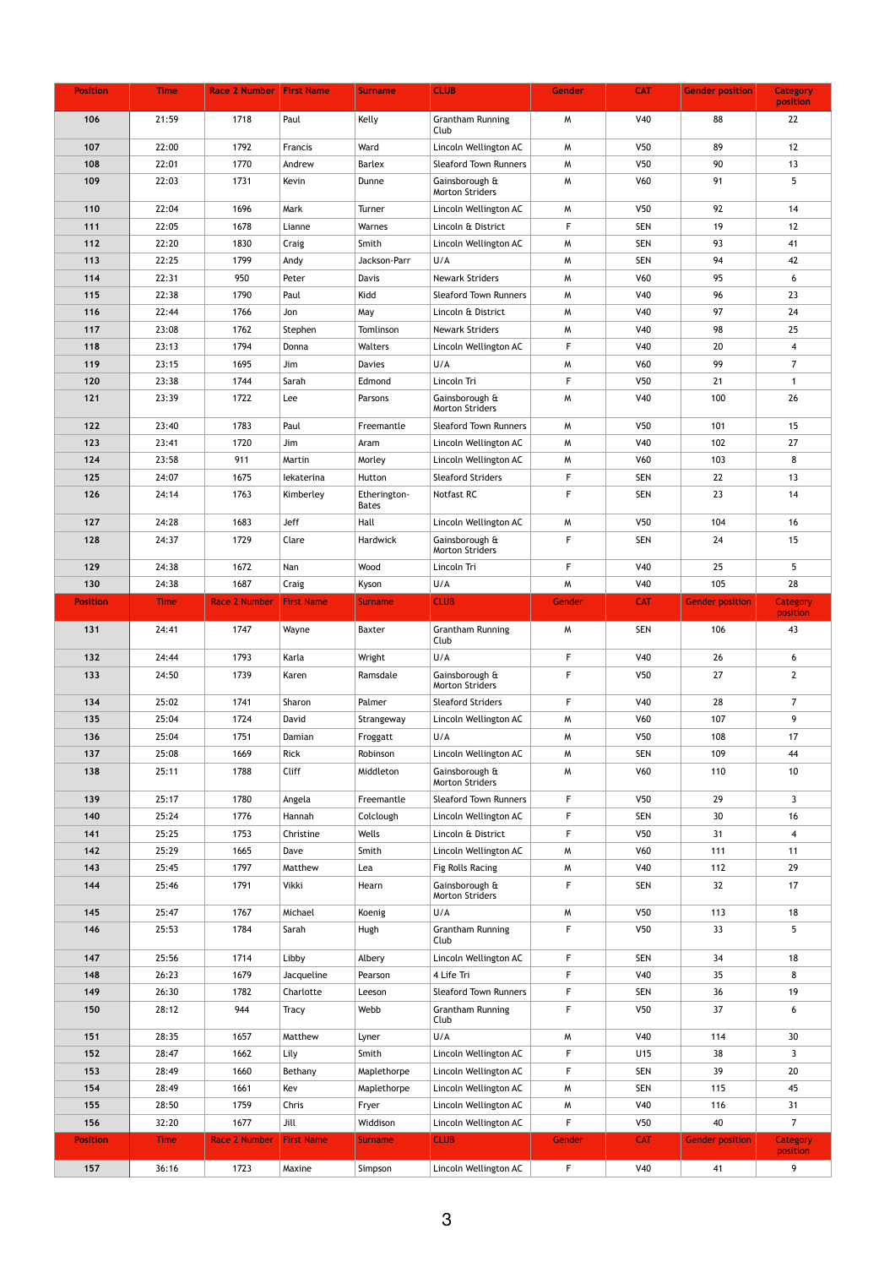| <b>Position</b> | <b>Time</b> | <b>Race 2 Number First Name</b> |                   | <b>Surname</b>               | <b>CLUB</b>                              | <b>Gender</b> | <b>CAT</b>      | <b>Gender position</b> | <b>Category</b><br>position |
|-----------------|-------------|---------------------------------|-------------------|------------------------------|------------------------------------------|---------------|-----------------|------------------------|-----------------------------|
| 106             | 21:59       | 1718                            | Paul              | Kelly                        | <b>Grantham Running</b><br>Club          | M             | V40             | 88                     | 22                          |
| 107             | 22:00       | 1792                            | Francis           | Ward                         | Lincoln Wellington AC                    | M             | V <sub>50</sub> | 89                     | 12                          |
| 108             | 22:01       | 1770                            | Andrew            | <b>Barlex</b>                | <b>Sleaford Town Runners</b>             | M             | V <sub>50</sub> | 90                     | 13                          |
| 109             | 22:03       | 1731                            | Kevin             | Dunne                        | Gainsborough &                           | M             | V60             | 91                     | 5                           |
|                 |             |                                 |                   |                              | <b>Morton Striders</b>                   |               |                 |                        |                             |
| 110             | 22:04       | 1696                            | Mark              | Turner                       | Lincoln Wellington AC                    | M             | V <sub>50</sub> | 92                     | 14                          |
| 111             | 22:05       | 1678                            | Lianne            | Warnes                       | Lincoln & District                       | F             | <b>SEN</b>      | 19                     | 12                          |
| 112             | 22:20       | 1830                            | Craig             | Smith                        | Lincoln Wellington AC                    | M             | <b>SEN</b>      | 93                     | 41                          |
| 113             | 22:25       | 1799                            | Andy              | Jackson-Parr                 | U/A                                      | M             | <b>SEN</b>      | 94                     | 42                          |
| 114             | 22:31       | 950                             | Peter             | Davis                        | <b>Newark Striders</b>                   | M             | V60             | 95                     | 6                           |
| 115             | 22:38       | 1790                            | Paul              | Kidd                         | <b>Sleaford Town Runners</b>             | M             | V40             | 96                     | 23                          |
| 116             | 22:44       | 1766                            | Jon               | May                          | Lincoln & District                       | M             | V40             | 97                     | 24                          |
| 117             | 23:08       | 1762                            | Stephen           | Tomlinson                    | <b>Newark Striders</b>                   | M             | V40             | 98                     | 25                          |
| 118             | 23:13       | 1794                            | Donna             | Walters                      | Lincoln Wellington AC                    | F.            | V40             | 20                     | $\overline{4}$              |
| 119             | 23:15       | 1695                            | Jim               | <b>Davies</b>                | U/A                                      | M             | V60             | 99                     | $\overline{7}$              |
| 120             | 23:38       | 1744                            | Sarah             | Edmond                       | Lincoln Tri                              | F.            | V <sub>50</sub> | 21                     |                             |
| 121             | 23:39       | 1722                            | Lee               | Parsons                      | Gainsborough &<br><b>Morton Striders</b> | M             | <b>V40</b>      | 100                    | 26                          |
| 122             | 23:40       | 1783                            | Paul              | Freemantle                   | <b>Sleaford Town Runners</b>             | M             | V50             | 101                    | 15                          |
| 123             | 23:41       | 1720                            | Jim               | Aram                         | Lincoln Wellington AC                    | M             | V40             | 102                    | 27                          |
| 124             | 23:58       | 911                             | Martin            | Morley                       | Lincoln Wellington AC                    | M             | V60             | 103                    | 8                           |
| 125             | 24:07       | 1675                            | lekaterina        | Hutton                       | <b>Sleaford Striders</b>                 | F             | <b>SEN</b>      | 22                     | 13                          |
| 126             | 24:14       | 1763                            | Kimberley         | Etherington-<br><b>Bates</b> | Notfast RC                               | $\mathsf F$   | <b>SEN</b>      | 23                     | 14                          |
| 127             | 24:28       | 1683                            | <b>Jeff</b>       | Hall                         | Lincoln Wellington AC                    | M             | V50             | 104                    | 16                          |
| 128             | 24:37       | 1729                            | Clare             | Hardwick                     | Gainsborough &<br><b>Morton Striders</b> | F             | <b>SEN</b>      | 24                     | 15                          |
| 129             | 24:38       | 1672                            | Nan               | Wood                         | Lincoln Tri                              | F             | V40             | 25                     | 5 <sup>5</sup>              |
| 130             | 24:38       | 1687                            | Craig             | Kyson                        | U/A                                      | M             | V40             | 105                    | 28                          |
| <b>Position</b> | <b>Time</b> | <b>Race 2 Number</b>            | <b>First Name</b> | <b>Surname</b>               | <b>CLUB</b>                              | Gender        | <b>CAT</b>      | <b>Gender position</b> | <b>Category</b>             |
|                 |             |                                 |                   |                              |                                          |               |                 |                        | position                    |
| 131             | 24:41       | 1747                            | Wayne             | <b>Baxter</b>                | <b>Grantham Running</b><br>Club          | M             | <b>SEN</b>      | 106                    | 43                          |
| 132             | 24:44       | 1793                            | Karla             | Wright                       | U/A                                      | F             | <b>V40</b>      | 26                     | 6                           |
| 133             | 24:50       | 1739                            | Karen             | Ramsdale                     | Gainsborough &<br><b>Morton Striders</b> | F             | V50             | 27                     | $2^{\circ}$                 |
| 134             | 25:02       | 1741                            | Sharon            | Palmer                       | <b>Sleaford Striders</b>                 | F             | V40             | 28                     | $\overline{7}$              |
| 135             | 25:04       | 1724                            | David             | Strangeway                   | Lincoln Wellington AC                    | M             | V60             | 107                    | 9                           |
| 136             | 25:04       | 1751                            | Damian            | Froggatt                     | U/A                                      | M             | V <sub>50</sub> | 108                    | 17                          |
| 137             | 25:08       | 1669                            | Rick              | Robinson                     | Lincoln Wellington AC                    | M             | <b>SEN</b>      | 109                    | 44                          |
| 138             | 25:11       | 1788                            | Cliff             | Middleton                    | Gainsborough &<br><b>Morton Striders</b> | M             | V60             | 110                    | 10                          |
| 139             | 25:17       | 1780                            | Angela            | Freemantle                   | <b>Sleaford Town Runners</b>             | F             | V50             | 29                     | 3 <sup>1</sup>              |
| 140             | 25:24       | 1776                            | Hannah            | Colclough                    | Lincoln Wellington AC                    | F             | <b>SEN</b>      | 30 <sup>°</sup>        | 16                          |
| 141             | 25:25       | 1753                            | Christine         | Wells                        | Lincoln & District                       | F             | V <sub>50</sub> | 31                     | $\overline{4}$              |
| 142             | 25:29       | 1665                            | Dave              | Smith                        | Lincoln Wellington AC                    | M             | <b>V60</b>      | 111                    | 11                          |
| 143             | 25:45       | 1797                            | Matthew           | Lea                          | Fig Rolls Racing                         | M             | <b>V40</b>      | 112                    | 29                          |
| 144             | 25:46       | 1791                            | Vikki             | Hearn                        | Gainsborough &<br><b>Morton Striders</b> | F             | <b>SEN</b>      | 32                     | 17                          |
| 145             | 25:47       | 1767                            | Michael           | Koenig                       | U/A                                      | M             | V <sub>50</sub> | 113                    | 18                          |
| 146             | 25:53       | 1784                            | Sarah             | Hugh                         | <b>Grantham Running</b><br>Club          | F             | V <sub>50</sub> | 33                     | 5                           |
| 147             | 25:56       | 1714                            | Libby             | Albery                       | Lincoln Wellington AC                    | $\mathsf F$   | <b>SEN</b>      | 34                     | 18                          |
| 148             | 26:23       | 1679                            | Jacqueline        | Pearson                      | 4 Life Tri                               | F             | <b>V40</b>      | 35                     | 8                           |
| 149             | 26:30       | 1782                            | Charlotte         | Leeson                       | <b>Sleaford Town Runners</b>             | $\mathsf F$   | <b>SEN</b>      | 36                     | 19                          |
| 150             | 28:12       | 944                             | <b>Tracy</b>      | Webb                         | <b>Grantham Running</b>                  | F             | V <sub>50</sub> | 37                     | 6                           |
| 151             | 28:35       | 1657                            | Matthew           | Lyner                        | Club<br>U/A                              | M             | <b>V40</b>      | 114                    | 30 <sup>°</sup>             |
| 152             | 28:47       | 1662                            | Lily              | Smith                        | Lincoln Wellington AC                    | F             | U15             | 38                     | $\mathbf{3}$                |
| 153             | 28:49       | 1660                            | Bethany           | Maplethorpe                  | Lincoln Wellington AC                    | F             | <b>SEN</b>      | 39                     | 20                          |
| 154             | 28:49       | 1661                            | Kev               | Maplethorpe                  | Lincoln Wellington AC                    | M             | <b>SEN</b>      | 115                    | 45                          |
| 155             | 28:50       | 1759                            | Chris             | Fryer                        | Lincoln Wellington AC                    | M             | V40             | 116                    | 31                          |
| 156             | 32:20       | 1677                            | Jill              | Widdison                     | Lincoln Wellington AC                    | F             | V50             | 40                     | $\overline{7}$              |
| <b>Position</b> | <b>Time</b> | <b>Race 2 Number</b>            | <b>First Name</b> | <b>Surname</b>               | <b>CLUB</b>                              | Gender        | <b>CAT</b>      | <b>Gender position</b> | Category                    |
|                 |             |                                 |                   |                              |                                          |               |                 |                        | position                    |
| 157             | 36:16       | 1723                            | Maxine            | Simpson                      | Lincoln Wellington AC                    | F             | V40             | 41                     | 9                           |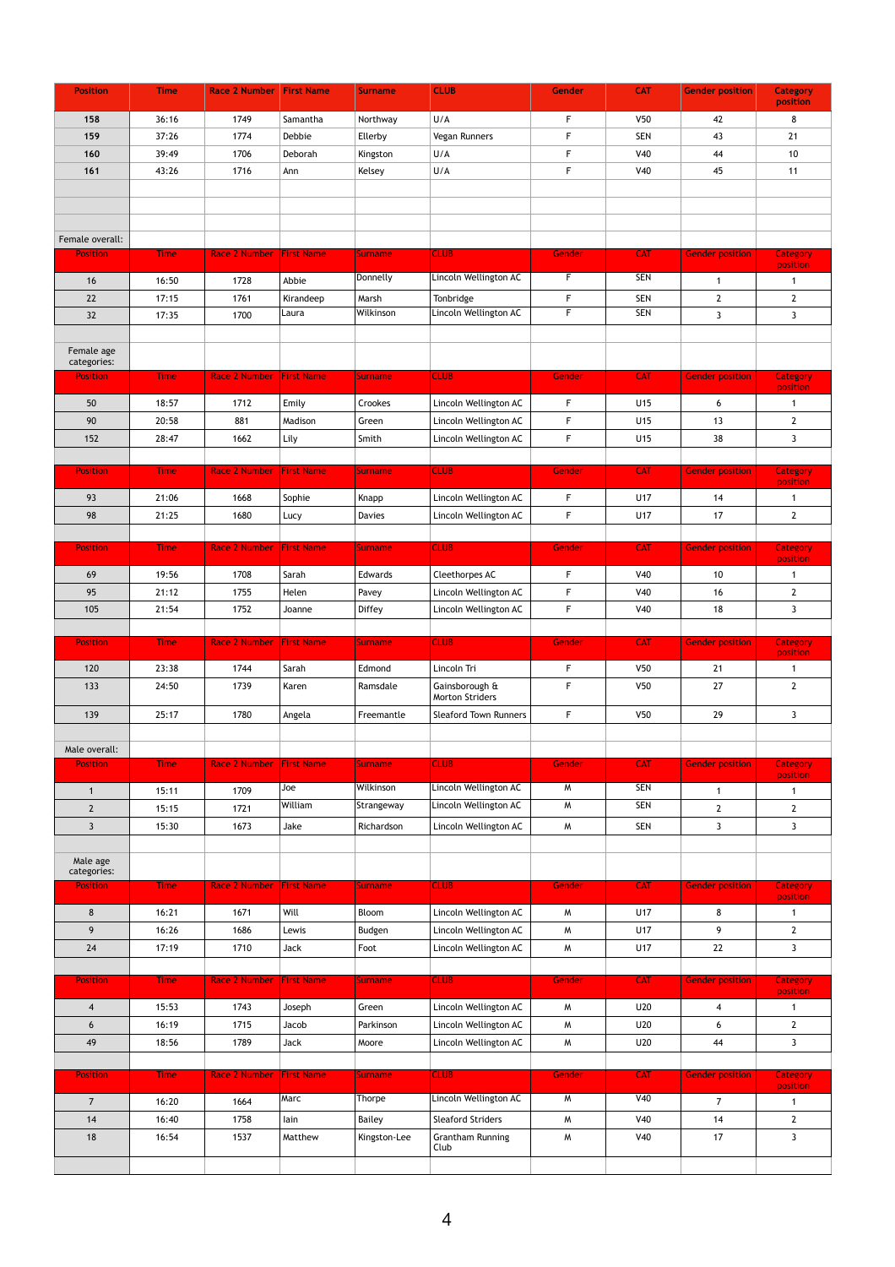| <b>Position</b>           | <b>Time</b> | <b>Race 2 Number First Name</b> |                   | <b>Surname</b>       | <b>CLUB</b>                       | <b>Gender</b> | <b>CAT</b>      | <b>Gender position</b>  | <b>Category</b><br>position |
|---------------------------|-------------|---------------------------------|-------------------|----------------------|-----------------------------------|---------------|-----------------|-------------------------|-----------------------------|
| 158                       | 36:16       | 1749                            | Samantha          | Northway             | U/A                               | F             | V <sub>50</sub> | 42                      | 8                           |
| 159                       | 37:26       | 1774                            | Debbie            | Ellerby              | Vegan Runners                     | F             | <b>SEN</b>      | 43                      | 21                          |
| 160                       | 39:49       | 1706                            | Deborah           |                      | U/A                               | $\mathsf{F}$  | V40             | 44                      | 10                          |
| 161                       | 43:26       | 1716                            | Ann               | Kingston<br>Kelsey   | U/A                               | $\mathsf F$   | V40             | 45                      | 11                          |
|                           |             |                                 |                   |                      |                                   |               |                 |                         |                             |
|                           |             |                                 |                   |                      |                                   |               |                 |                         |                             |
|                           |             |                                 |                   |                      |                                   |               |                 |                         |                             |
| Female overall:           |             |                                 |                   |                      |                                   |               |                 |                         |                             |
| <b>Position</b>           | <b>Time</b> | <b>Race 2 Number</b>            | <b>First Name</b> | Surname              | <b>CLUB</b>                       | Gender        | <b>CAT</b>      | <b>Gender position</b>  | <b>Category</b>             |
|                           |             |                                 |                   |                      |                                   | F             |                 |                         | position                    |
| 16                        | 16:50       | 1728                            | Abbie             | Donnelly             | Lincoln Wellington AC             |               | <b>SEN</b>      | $\overline{\mathbf{1}}$ | $\mathbf{1}$                |
| 22                        | 17:15       | 1761                            | Kirandeep         | Marsh                | Tonbridge                         | F             | <b>SEN</b>      | $\overline{2}$          | $2^{\circ}$                 |
| 32                        | 17:35       | 1700                            | Laura             | Wilkinson            | Lincoln Wellington AC             | F.            | <b>SEN</b>      | $\mathbf{3}$            | $\mathbf{3}$                |
|                           |             |                                 |                   |                      |                                   |               |                 |                         |                             |
| Female age<br>categories: |             |                                 |                   |                      |                                   |               |                 |                         |                             |
| <b>Position</b>           | <b>Time</b> | <b>Race 2 Number</b>            | <b>First Name</b> | Surname <sub>r</sub> | <b>CLUB</b>                       | Gender        | <b>CAT</b>      | <b>Gender position</b>  | <b>Category</b>             |
|                           |             |                                 |                   |                      |                                   |               |                 |                         | position                    |
| 50                        | 18:57       | 1712                            | Emily             | Crookes              | Lincoln Wellington AC             | F             | U15             | 6                       | -1                          |
| 90                        | 20:58       | 881                             | Madison           | Green                | Lincoln Wellington AC             | F             | U15             | 13                      | $2^{\circ}$                 |
| 152                       | 28:47       | 1662                            | Lily              | Smith                | Lincoln Wellington AC             | F             | U15             | 38                      | 3 <sup>1</sup>              |
|                           | <b>Time</b> |                                 | <b>First Name</b> | <b>Surname</b>       | <b>CLUB</b>                       | Gender        | <b>CAT</b>      |                         |                             |
| <b>Position</b>           |             | <b>Race 2 Number</b>            |                   |                      |                                   |               |                 | <b>Gender position</b>  | <b>Category</b><br>position |
| 93                        | 21:06       | 1668                            | Sophie            | Knapp                | Lincoln Wellington AC             | $\mathsf F$   | U17             | 14                      | -1                          |
| 98                        | 21:25       | 1680                            | Lucy              | <b>Davies</b>        | Lincoln Wellington AC             | F             | U17             | 17                      | $2^{\circ}$                 |
|                           |             |                                 |                   |                      |                                   |               |                 |                         |                             |
| <b>Position</b>           | <b>Time</b> | <b>Race 2 Number</b>            | <b>First Name</b> | <b>Surname</b>       | <b>CLUB</b>                       | Gender        | <b>CAT</b>      | <b>Gender position</b>  | <b>Category</b><br>position |
| 69                        | 19:56       | 1708                            | Sarah             | Edwards              | Cleethorpes AC                    | F.            | V40             | 10                      | -1                          |
| 95                        | 21:12       | 1755                            | Helen             | Pavey                | Lincoln Wellington AC             | F             | V40             | 16                      | $2^{\circ}$                 |
| 105                       | 21:54       | 1752                            | Joanne            | <b>Diffey</b>        | Lincoln Wellington AC             | F.            | V40             | 18                      | 3 <sup>1</sup>              |
|                           |             |                                 |                   |                      |                                   |               |                 |                         |                             |
| <b>Position</b>           | <b>Time</b> | <b>Race 2 Number</b>            | <b>First Name</b> | <b>Surname</b>       | <b>CLUB</b>                       | Gender        | <b>CAT</b>      | <b>Gender position</b>  | <b>Category</b>             |
|                           |             |                                 |                   |                      |                                   |               |                 |                         | position                    |
| 120                       | 23:38       | 1744                            | Sarah             | Edmond               | Lincoln Tri                       | F             | V <sub>50</sub> | 21                      |                             |
| 133                       | 24:50       | 1739                            | Karen             | Ramsdale             | Gainsborough &<br>Morton Striders | F             | V50             | 27                      | $\overline{2}$              |
| 139                       | 25:17       | 1780                            | Angela            | Freemantle           | <b>Sleaford Town Runners</b>      | F             | V50             | 29                      | $\mathbf{3}$                |
|                           |             |                                 |                   |                      |                                   |               |                 |                         |                             |
| Male overall:             |             |                                 |                   |                      |                                   |               |                 |                         |                             |
| <b>Position</b>           | <b>Time</b> | <b>Race 2 Number First Name</b> |                   | Surname              | <b>CLUB</b>                       | <b>Gender</b> | <b>CAT</b>      | Gender position         | Category                    |
| $\mathbf 1$               | 15:11       | 1709                            | Joe               | Wilkinson            | Lincoln Wellington AC             | M             | <b>SEN</b>      | -1                      | position<br>-1              |
| $\overline{2}$            | 15:15       | 1721                            | William           | Strangeway           | Lincoln Wellington AC             | M             | <b>SEN</b>      | $\overline{2}$          | $\overline{2}$              |
| $\overline{3}$            | 15:30       | 1673                            | Jake              | Richardson           | Lincoln Wellington AC             | W             | <b>SEN</b>      | $\mathbf{3}$            | $\mathbf{3}$                |
|                           |             |                                 |                   |                      |                                   |               |                 |                         |                             |
| Male age                  |             |                                 |                   |                      |                                   |               |                 |                         |                             |
| categories:               |             |                                 |                   |                      |                                   |               |                 |                         |                             |
| <b>Position</b>           | <b>Time</b> | <b>Race 2 Number</b>            | <b>First Name</b> | <b>Surname</b>       | <b>CLUB</b>                       | <b>Gender</b> | <b>CAT</b>      | <b>Gender position</b>  | <b>Category</b><br>position |
| 8                         | 16:21       | 1671                            | Will              | Bloom                | Lincoln Wellington AC             | M             | <b>U17</b>      | 8                       | 1                           |
| 9                         | 16:26       | 1686                            | Lewis             | Budgen               | Lincoln Wellington AC             | M             | U17             | 9                       | $2^{\circ}$                 |
| 24                        | 17:19       | 1710                            | <b>Jack</b>       | Foot                 | Lincoln Wellington AC             | M             | <b>U17</b>      | 22                      | $\mathbf{3}$                |
|                           |             |                                 |                   |                      |                                   |               |                 |                         |                             |
| <b>Position</b>           | <b>Time</b> | <b>Race 2 Number</b>            | <b>First Name</b> | <b>Surname</b>       | <b>CLUB</b>                       | Gender        | <b>CAT</b>      | <b>Gender position</b>  | <b>Category</b>             |
|                           |             |                                 |                   |                      |                                   |               |                 |                         | position                    |
| $\overline{4}$            | 15:53       | 1743                            | Joseph            | Green                | Lincoln Wellington AC             | M             | <b>U20</b>      | $\boldsymbol{4}$        | -1                          |
| 6                         | 16:19       | 1715                            | Jacob             | Parkinson            | Lincoln Wellington AC             | M             | U20             | 6                       | $2^{\circ}$                 |
| 49                        | 18:56       | 1789                            | <b>Jack</b>       | Moore                | Lincoln Wellington AC             | M             | U20             | 44                      | $\mathbf{3}$                |
| <b>Position</b>           | <b>Time</b> | <b>Race 2 Number</b>            | <b>First Name</b> | <b>Surname</b>       | <b>CLUB</b>                       | <b>Gender</b> | <b>CAT</b>      | <b>Gender position</b>  | <b>Category</b>             |
|                           |             |                                 |                   |                      |                                   |               |                 |                         | position                    |
| $\overline{7}$            | 16:20       | 1664                            | Marc              | Thorpe               | Lincoln Wellington AC             | M             | V40             | $\overline{7}$          | -1                          |
| 14                        | 16:40       | 1758                            | lain              | Bailey               | <b>Sleaford Striders</b>          | M             | <b>V40</b>      | 14                      | $2^{\circ}$                 |
| 18                        | 16:54       | 1537                            | Matthew           | Kingston-Lee         | <b>Grantham Running</b><br>Club   | $M_{\odot}$   | <b>V40</b>      | 17                      | $\mathbf{3}$                |
|                           |             |                                 |                   |                      |                                   |               |                 |                         |                             |
|                           |             |                                 |                   |                      |                                   |               |                 |                         |                             |